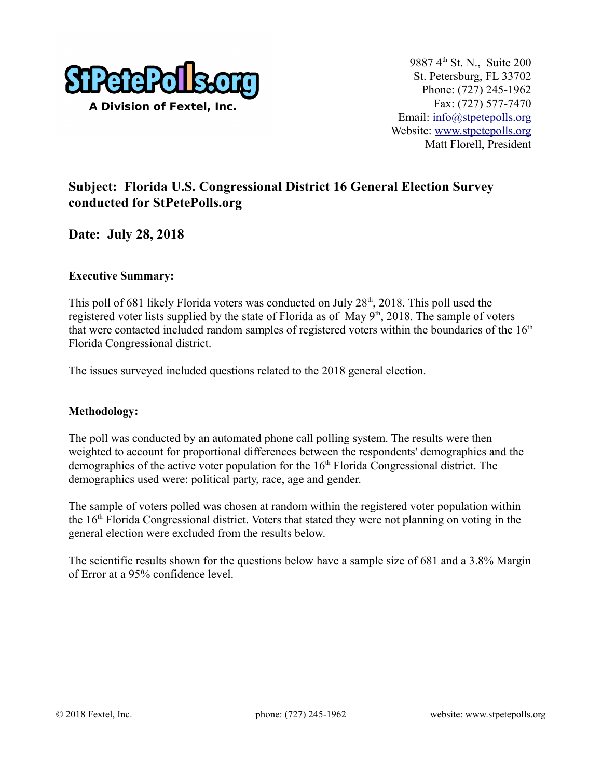

## **Subject: Florida U.S. Congressional District 16 General Election Survey conducted for StPetePolls.org**

**Date: July 28, 2018**

#### **Executive Summary:**

This poll of 681 likely Florida voters was conducted on July  $28<sup>th</sup>$ , 2018. This poll used the registered voter lists supplied by the state of Florida as of May  $9<sup>th</sup>$ , 2018. The sample of voters that were contacted included random samples of registered voters within the boundaries of the  $16<sup>th</sup>$ Florida Congressional district.

The issues surveyed included questions related to the 2018 general election.

#### **Methodology:**

The poll was conducted by an automated phone call polling system. The results were then weighted to account for proportional differences between the respondents' demographics and the demographics of the active voter population for the  $16<sup>th</sup>$  Florida Congressional district. The demographics used were: political party, race, age and gender.

The sample of voters polled was chosen at random within the registered voter population within the 16th Florida Congressional district. Voters that stated they were not planning on voting in the general election were excluded from the results below.

The scientific results shown for the questions below have a sample size of 681 and a 3.8% Margin of Error at a 95% confidence level.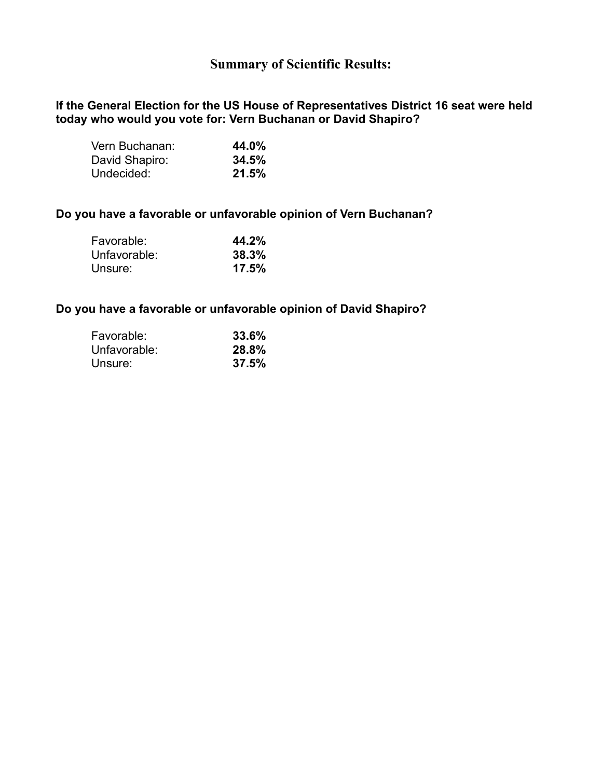### **Summary of Scientific Results:**

#### **If the General Election for the US House of Representatives District 16 seat were held today who would you vote for: Vern Buchanan or David Shapiro?**

| Vern Buchanan: | 44.0% |
|----------------|-------|
| David Shapiro: | 34.5% |
| Undecided:     | 21.5% |

#### **Do you have a favorable or unfavorable opinion of Vern Buchanan?**

| 44.2% |
|-------|
| 38.3% |
| 17.5% |
|       |

#### **Do you have a favorable or unfavorable opinion of David Shapiro?**

| Favorable:   | 33.6% |
|--------------|-------|
| Unfavorable: | 28.8% |
| Unsure:      | 37.5% |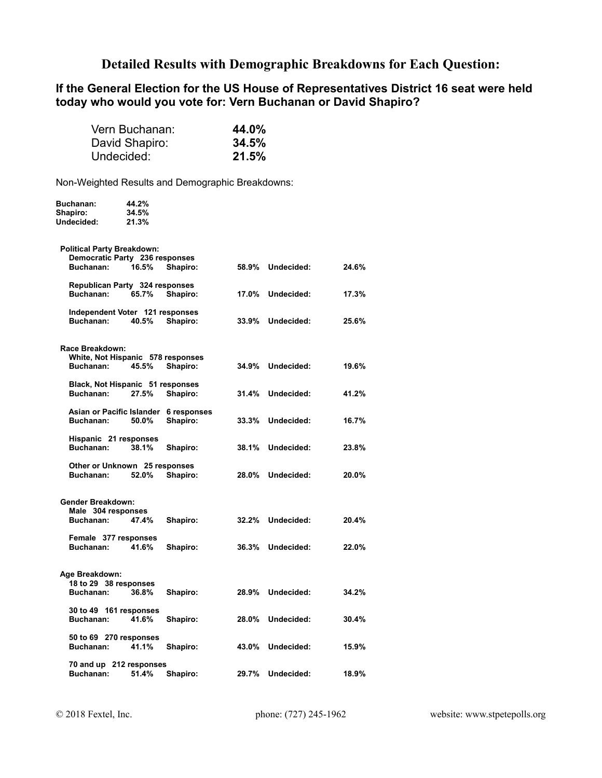### **Detailed Results with Demographic Breakdowns for Each Question:**

#### **If the General Election for the US House of Representatives District 16 seat were held today who would you vote for: Vern Buchanan or David Shapiro?**

| Vern Buchanan: | 44.0% |
|----------------|-------|
| David Shapiro: | 34.5% |
| Undecided:     | 21.5% |

Non-Weighted Results and Demographic Breakdowns:

| Buchanan:                                     | 44.2% |                                       |       |                  |       |
|-----------------------------------------------|-------|---------------------------------------|-------|------------------|-------|
| Shapiro:                                      | 34.5% |                                       |       |                  |       |
| Undecided:                                    | 21.3% |                                       |       |                  |       |
| <b>Political Party Breakdown:</b>             |       |                                       |       |                  |       |
| Democratic Party 236 responses                |       |                                       |       |                  |       |
| Buchanan:                                     | 16.5% | Shapiro:                              |       | 58.9% Undecided: | 24.6% |
| Republican Party 324 responses                |       |                                       |       |                  |       |
| Buchanan:                                     | 65.7% | Shapiro:                              | 17.0% | Undecided:       | 17.3% |
| Independent Voter 121 responses               |       |                                       |       |                  |       |
| Buchanan:                                     | 40.5% | Shapiro:                              | 33.9% | Undecided:       | 25.6% |
| Race Breakdown:                               |       |                                       |       |                  |       |
| White, Not Hispanic 578 responses             |       |                                       |       |                  |       |
| Buchanan:                                     | 45.5% | Shapiro:                              |       | 34.9% Undecided: | 19.6% |
|                                               |       |                                       |       |                  |       |
| Black, Not Hispanic 51 responses<br>Buchanan: | 27.5% | Shapiro:                              |       | 31.4% Undecided: | 41.2% |
|                                               |       |                                       |       |                  |       |
|                                               |       | Asian or Pacific Islander 6 responses |       |                  |       |
| Buchanan:                                     | 50.0% | Shapiro:                              | 33.3% | Undecided:       | 16.7% |
| Hispanic 21 responses                         |       |                                       |       |                  |       |
| Buchanan:                                     | 38.1% | Shapiro:                              | 38.1% | Undecided:       | 23.8% |
| Other or Unknown 25 responses                 |       |                                       |       |                  |       |
| Buchanan:                                     | 52.0% | Shapiro:                              | 28.0% | Undecided:       | 20.0% |
| <b>Gender Breakdown:</b>                      |       |                                       |       |                  |       |
| Male 304 responses                            |       |                                       |       |                  |       |
| Buchanan:                                     | 47.4% | Shapiro:                              |       | 32.2% Undecided: | 20.4% |
|                                               |       |                                       |       |                  |       |
| Female 377 responses<br>Buchanan:             | 41.6% | Shapiro:                              |       | 36.3% Undecided: | 22.0% |
|                                               |       |                                       |       |                  |       |
| Age Breakdown:                                |       |                                       |       |                  |       |
| 18 to 29 38 responses                         |       |                                       |       |                  |       |
| Buchanan:                                     | 36.8% | Shapiro:                              |       | 28.9% Undecided: | 34.2% |
| 30 to 49 161 responses                        |       |                                       |       |                  |       |
| Buchanan:                                     | 41.6% | Shapiro:                              | 28.0% | Undecided:       | 30.4% |
| 50 to 69 270 responses                        |       |                                       |       |                  |       |
| Buchanan:                                     | 41.1% | Shapiro:                              |       | 43.0% Undecided: | 15.9% |
| 70 and up 212 responses                       |       |                                       |       |                  |       |
| Buchanan:                                     | 51.4% | Shapiro:                              |       | 29.7% Undecided: | 18.9% |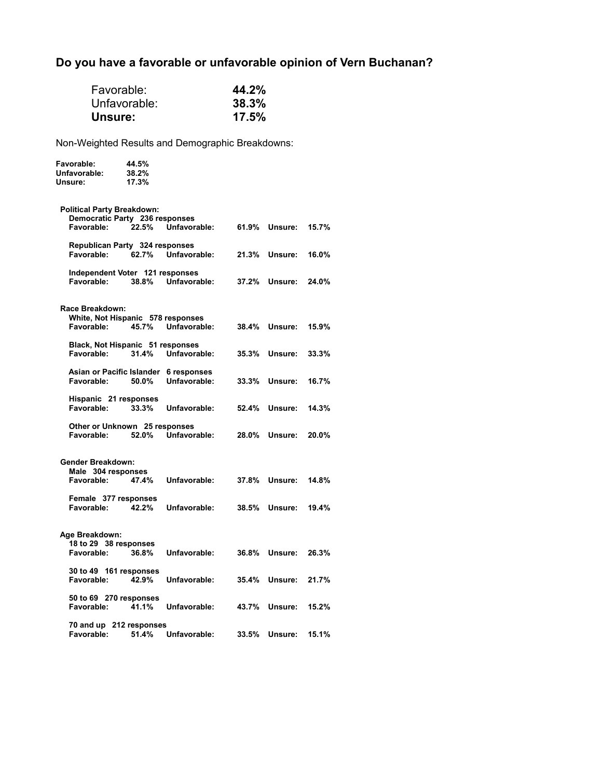# **Do you have a favorable or unfavorable opinion of Vern Buchanan?**

| Favorable:<br>Unsure:                                                             | Unfavorable:            |              | 44.2%<br>38.3%<br>17.5% |                      |       |  |
|-----------------------------------------------------------------------------------|-------------------------|--------------|-------------------------|----------------------|-------|--|
| Non-Weighted Results and Demographic Breakdowns:                                  |                         |              |                         |                      |       |  |
| <b>Favorable:</b><br>Unfavorable:<br>Unsure:                                      | 44.5%<br>38.2%<br>17.3% |              |                         |                      |       |  |
| <b>Political Party Breakdown:</b><br>Democratic Party 236 responses<br>Favorable: | 22.5%                   | Unfavorable: |                         | 61.9% Unsure:        | 15.7% |  |
| Republican Party 324 responses<br>Favorable:                                      | 62.7%                   | Unfavorable: |                         | 21.3% Unsure:        | 16.0% |  |
| Independent Voter 121 responses<br>Favorable:                                     | 38.8%                   | Unfavorable: |                         | 37.2% Unsure:        | 24.0% |  |
| Race Breakdown:<br>White, Not Hispanic 578 responses<br>Favorable:                | 45.7%                   | Unfavorable: |                         | <b>38.4% Unsure:</b> | 15.9% |  |
| Black, Not Hispanic 51 responses<br>Favorable:                                    | 31.4%                   | Unfavorable: | 35.3%                   | Unsure:              | 33.3% |  |
| Asian or Pacific Islander 6 responses<br>Favorable:                               | 50.0%                   | Unfavorable: |                         | <b>33.3% Unsure:</b> | 16.7% |  |
| Hispanic 21 responses<br>Favorable:                                               | 33.3%                   | Unfavorable: |                         | <b>52.4% Unsure:</b> | 14.3% |  |
| Other or Unknown 25 responses<br>Favorable:                                       | 52.0%                   | Unfavorable: |                         | 28.0% Unsure:        | 20.0% |  |
| Gender Breakdown:<br>Male 304 responses<br>Favorable:                             | 47.4%                   | Unfavorable: |                         | 37.8% Unsure:        | 14.8% |  |
| Female 377 responses<br>Favorable:                                                | 42.2%                   | Unfavorable: | 38.5%                   | Unsure:              | 19.4% |  |
| Age Breakdown:<br>18 to 29 38 responses<br>Favorable:                             | 36.8%                   | Unfavorable: |                         | 36.8% Unsure:        | 26.3% |  |
| 30 to 49 161 responses<br>Favorable:                                              | 42.9%                   | Unfavorable: | 35.4%                   | Unsure:              | 21.7% |  |
| 50 to 69 270 responses<br>Favorable:                                              | 41.1%                   | Unfavorable: | 43.7%                   | Unsure:              | 15.2% |  |
| 70 and up 212 responses<br>Favorable:                                             | 51.4%                   | Unfavorable: | 33.5%                   | Unsure:              | 15.1% |  |